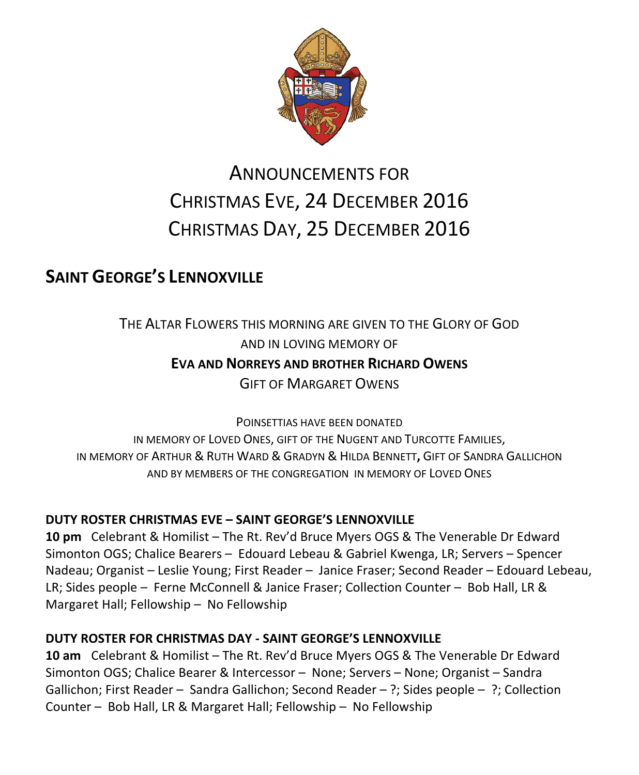

# ANNOUNCEMENTS FOR CHRISTMAS EVE, 24 DECEMBER 2016 CHRISTMAS DAY, 25 DECEMBER 2016

# **SAINT GEORGE'S LENNOXVILLE**

THE ALTAR FLOWERS THIS MORNING ARE GIVEN TO THE GLORY OF GOD AND IN LOVING MEMORY OF **EVA AND NORREYS AND BROTHER RICHARD OWENS** GIFT OF MARGARET OWENS

POINSETTIAS HAVE BEEN DONATED IN MEMORY OF LOVED ONES, GIFT OF THE NUGENT AND TURCOTTE FAMILIES, IN MEMORY OF ARTHUR & RUTH WARD & GRADYN & HILDA BENNETT**,** GIFT OF SANDRA GALLICHON AND BY MEMBERS OF THE CONGREGATION IN MEMORY OF LOVED ONES

### **DUTY ROSTER CHRISTMAS EVE – SAINT GEORGE'S LENNOXVILLE**

**10 pm** Celebrant & Homilist – The Rt. Rev'd Bruce Myers OGS & The Venerable Dr Edward Simonton OGS; Chalice Bearers – Edouard Lebeau & Gabriel Kwenga, LR; Servers – Spencer Nadeau; Organist – Leslie Young; First Reader – Janice Fraser; Second Reader – Edouard Lebeau, LR; Sides people – Ferne McConnell & Janice Fraser; Collection Counter – Bob Hall, LR & Margaret Hall; Fellowship – No Fellowship

### **DUTY ROSTER FOR CHRISTMAS DAY - SAINT GEORGE'S LENNOXVILLE**

**10 am** Celebrant & Homilist – The Rt. Rev'd Bruce Myers OGS & The Venerable Dr Edward Simonton OGS; Chalice Bearer & Intercessor – None; Servers – None; Organist – Sandra Gallichon; First Reader – Sandra Gallichon; Second Reader – ?; Sides people – ?; Collection Counter – Bob Hall, LR & Margaret Hall; Fellowship – No Fellowship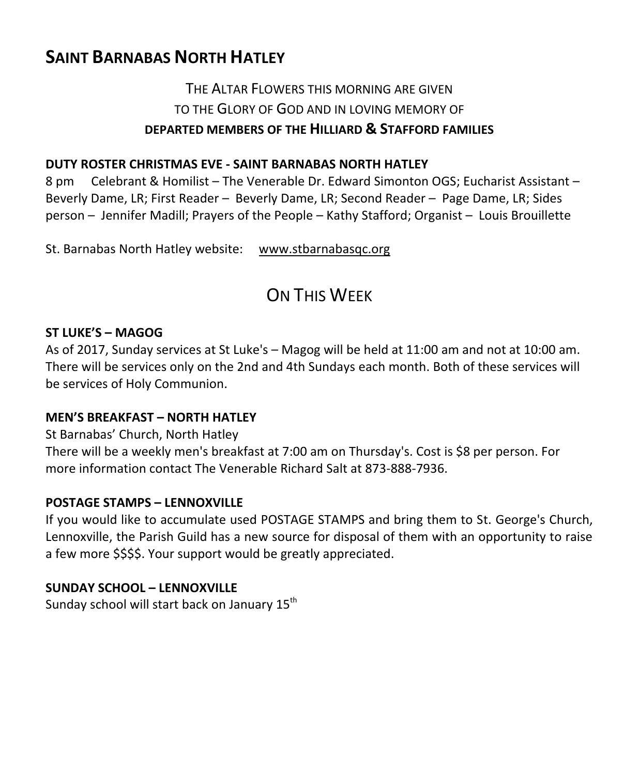# **SAINT BARNABAS NORTH HATLEY**

### THE ALTAR FLOWERS THIS MORNING ARE GIVEN TO THE GLORY OF GOD AND IN LOVING MEMORY OF **DEPARTED MEMBERS OF THE HILLIARD & STAFFORD FAMILIES**

### **DUTY ROSTER CHRISTMAS EVE - SAINT BARNABAS NORTH HATLEY**

8 pm Celebrant & Homilist – The Venerable Dr. Edward Simonton OGS; Eucharist Assistant – Beverly Dame, LR; First Reader – Beverly Dame, LR; Second Reader – Page Dame, LR; Sides person – Jennifer Madill; Prayers of the People – Kathy Stafford; Organist – Louis Brouillette

St. Barnabas North Hatley website: [www.stbarnabasqc.org](https://webmail.ubishops.ca/owa/redir.aspx?REF=0vV84iQWktbgou41-Q7x-hpuWc0un25Lg32_cT3pE_mXa77B8czTCAFodHRwOi8vd3d3LnN0YmFybmFiYXNxYy5vcmc.)

# ON THIS WEEK

#### **ST LUKE'S – MAGOG**

As of 2017, Sunday services at St Luke's – Magog will be held at 11:00 am and not at 10:00 am. There will be services only on the 2nd and 4th Sundays each month. Both of these services will be services of Holy Communion.

### **MEN'S BREAKFAST – NORTH HATLEY**

St Barnabas' Church, North Hatley

There will be a weekly men's breakfast at 7:00 am on Thursday's. Cost is \$8 per person. For more information contact The Venerable Richard Salt at 873-888-7936.

### **POSTAGE STAMPS – LENNOXVILLE**

If you would like to accumulate used POSTAGE STAMPS and bring them to St. George's Church, Lennoxville, the Parish Guild has a new source for disposal of them with an opportunity to raise a few more \$\$\$\$. Your support would be greatly appreciated.

### **SUNDAY SCHOOL – LENNOXVILLE**

Sunday school will start back on January  $15<sup>th</sup>$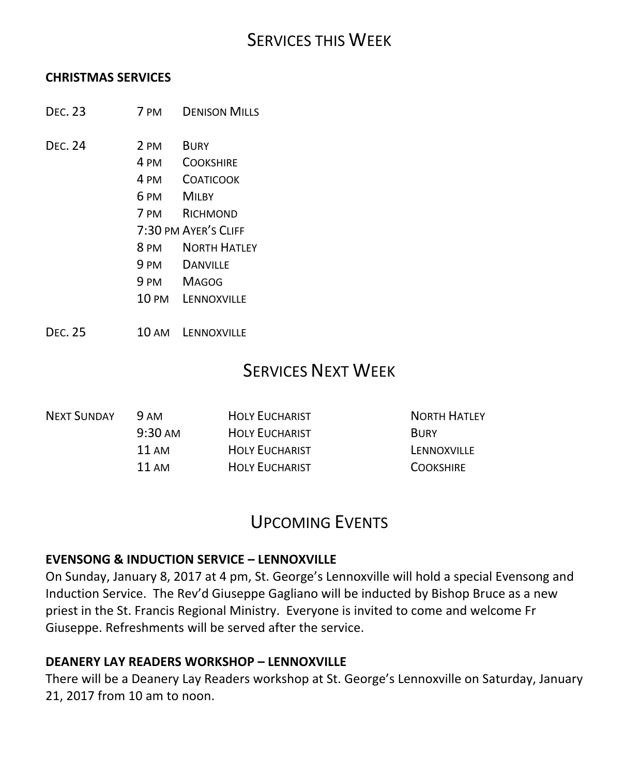## SERVICES THIS WEEK

#### **CHRISTMAS SERVICES**

- DEC. 23 7 PM DENISON MILLS
- DEC. 24 2 PM BURY
	- 4 PM COOKSHIRE
	- 4 PM COATICOOK
	- 6 PM MILBY
	- 7 PM RICHMOND
	- 7:30 PM AYER'S CLIFF
	- 8 PM NORTH HATLEY
	- 9 PM DANVILLE
	- 9 PM MAGOG
	- 10 PM LENNOXVILLE
- DEC. 25 10 AM LENNOXVILLE

## SERVICES NEXT WEEK

| <b>NEXT SUNDAY</b> | 9 AM              | <b>HOLY EUCHARIST</b> | <b>NORTH HATLEY</b> |
|--------------------|-------------------|-----------------------|---------------------|
|                    | $9:30 \text{ AM}$ | <b>HOLY EUCHARIST</b> | <b>BURY</b>         |
|                    | 11 AM             | <b>HOLY EUCHARIST</b> | LENNOXVILLE         |
|                    | 11 AM             | <b>HOLY EUCHARIST</b> | <b>COOKSHIRE</b>    |
|                    |                   |                       |                     |

# UPCOMING EVENTS

#### **EVENSONG & INDUCTION SERVICE – LENNOXVILLE**

On Sunday, January 8, 2017 at 4 pm, St. George's Lennoxville will hold a special Evensong and Induction Service. The Rev'd Giuseppe Gagliano will be inducted by Bishop Bruce as a new priest in the St. Francis Regional Ministry. Everyone is invited to come and welcome Fr Giuseppe. Refreshments will be served after the service.

#### **DEANERY LAY READERS WORKSHOP – LENNOXVILLE**

There will be a Deanery Lay Readers workshop at St. George's Lennoxville on Saturday, January 21, 2017 from 10 am to noon.